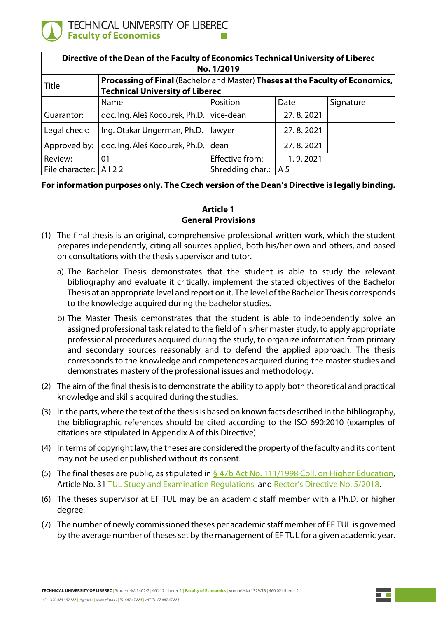

| Directive of the Dean of the Faculty of Economics Technical University of Liberec<br>No. 1/2019 |                                                                                                                         |                  |                |           |
|-------------------------------------------------------------------------------------------------|-------------------------------------------------------------------------------------------------------------------------|------------------|----------------|-----------|
| Title                                                                                           | Processing of Final (Bachelor and Master) Theses at the Faculty of Economics,<br><b>Technical University of Liberec</b> |                  |                |           |
|                                                                                                 | Name                                                                                                                    | Position         | Date           | Signature |
| Guarantor:                                                                                      | doc. Ing. Aleš Kocourek, Ph.D. vice-dean                                                                                |                  | 27.8.2021      |           |
| Legal check:                                                                                    | Ing. Otakar Ungerman, Ph.D.                                                                                             | lawyer           | 27.8.2021      |           |
| Approved by:                                                                                    | doc. Ing. Aleš Kocourek, Ph.D.                                                                                          | dean             | 27.8.2021      |           |
| Review:                                                                                         | 01                                                                                                                      | Effective from:  | 1.9.2021       |           |
| File character:                                                                                 | A122                                                                                                                    | Shredding char.: | A <sub>5</sub> |           |

### **For information purposes only. The Czech version of the Dean's Directive is legally binding.**

## **Article 1 General Provisions**

- (1) The final thesis is an original, comprehensive professional written work, which the student prepares independently, citing all sources applied, both his/her own and others, and based on consultations with the thesis supervisor and tutor.
	- a) The Bachelor Thesis demonstrates that the student is able to study the relevant bibliography and evaluate it critically, implement the stated objectives of the Bachelor Thesis at an appropriate level and report on it. The level of the Bachelor Thesis corresponds to the knowledge acquired during the bachelor studies.
	- b) The Master Thesis demonstrates that the student is able to independently solve an assigned professional task related to the field of his/her master study, to apply appropriate professional procedures acquired during the study, to organize information from primary and secondary sources reasonably and to defend the applied approach. The thesis corresponds to the knowledge and competences acquired during the master studies and demonstrates mastery of the professional issues and methodology.
- (2) The aim of the final thesis is to demonstrate the ability to apply both theoretical and practical knowledge and skills acquired during the studies.
- (3) In the parts, where the text of the thesis is based on known facts described in the bibliography, the bibliographic references should be cited according to the ISO 690:2010 (examples of citations are stipulated in Appendix A of this Directive).
- (4) In terms of copyright law, the theses are considered the property of the faculty and its content may not be used or published without its consent.
- (5) The final theses are public, as stipulated in  $\frac{647b}{12}$  Act No. 111/1998 Coll. [on Higher Education,](https://www.zakonyprolidi.cz/cs/1998-111#f1861831) Article No. 31 TUL Study [and Examination Regulations](https://doc.tul.cz/9253) and [Rector's Directive](https://doc.tul.cz/8580) No. 5/2018.
- (6) The theses supervisor at EF TUL may be an academic staff member with a Ph.D. or higher degree.
- (7) The number of newly commissioned theses per academic staff member of EF TUL is governed by the average number of theses set by the management of EF TUL for a given academic year.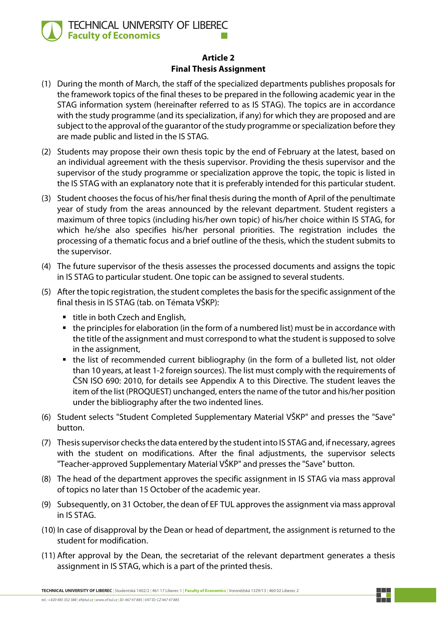

### **Article 2 Final Thesis Assignment**

- (1) During the month of March, the staff of the specialized departments publishes proposals for the framework topics of the final theses to be prepared in the following academic year in the STAG information system (hereinafter referred to as IS STAG). The topics are in accordance with the study programme (and its specialization, if any) for which they are proposed and are subject to the approval of the guarantor of the study programme or specialization before they are made public and listed in the IS STAG.
- (2) Students may propose their own thesis topic by the end of February at the latest, based on an individual agreement with the thesis supervisor. Providing the thesis supervisor and the supervisor of the study programme or specialization approve the topic, the topic is listed in the IS STAG with an explanatory note that it is preferably intended for this particular student.
- (3) Student chooses the focus of his/her final thesis during the month of April of the penultimate year of study from the areas announced by the relevant department. Student registers a maximum of three topics (including his/her own topic) of his/her choice within IS STAG, for which he/she also specifies his/her personal priorities. The registration includes the processing of a thematic focus and a brief outline of the thesis, which the student submits to the supervisor.
- (4) The future supervisor of the thesis assesses the processed documents and assigns the topic in IS STAG to particular student. One topic can be assigned to several students.
- (5) After the topic registration, the student completes the basis for the specific assignment of the final thesis in IS STAG (tab. on Témata VŠKP):
	- title in both Czech and English,
	- the principles for elaboration (in the form of a numbered list) must be in accordance with the title of the assignment and must correspond to what the student is supposed to solve in the assignment,
	- the list of recommended current bibliography (in the form of a bulleted list, not older than 10 years, at least 1-2 foreign sources). The list must comply with the requirements of ČSN ISO 690: 2010, for details see Appendix A to this Directive. The student leaves the item of the list (PROQUEST) unchanged, enters the name of the tutor and his/her position under the bibliography after the two indented lines.
- (6) Student selects "Student Completed Supplementary Material VŠKP" and presses the "Save" button.
- (7) Thesis supervisor checks the data entered by the student into IS STAG and, if necessary, agrees with the student on modifications. After the final adjustments, the supervisor selects "Teacher-approved Supplementary Material VŠKP" and presses the "Save" button.
- (8) The head of the department approves the specific assignment in IS STAG via mass approval of topics no later than 15 October of the academic year.
- (9) Subsequently, on 31 October, the dean of EF TUL approves the assignment via mass approval in IS STAG.
- (10) In case of disapproval by the Dean or head of department, the assignment is returned to the student for modification.
- (11) After approval by the Dean, the secretariat of the relevant department generates a thesis assignment in IS STAG, which is a part of the printed thesis.

**TECHNICAL UNIVERSITY OF LIBEREC** | Studentská 1402/2 | 461 17 Liberec 1 | **Faculty of Economics** | Voroněžská 1329/13 | 460 02 Liberec 2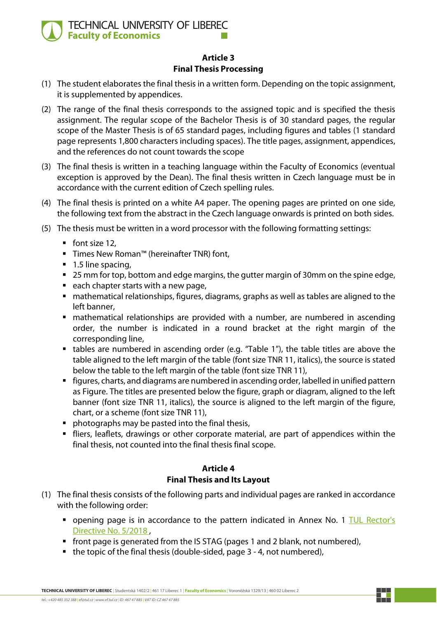

## **Article 3 Final Thesis Processing**

- (1) The student elaborates the final thesis in a written form. Depending on the topic assignment, it is supplemented by appendices.
- (2) The range of the final thesis corresponds to the assigned topic and is specified the thesis assignment. The regular scope of the Bachelor Thesis is of 30 standard pages, the regular scope of the Master Thesis is of 65 standard pages, including figures and tables (1 standard page represents 1,800 characters including spaces). The title pages, assignment, appendices, and the references do not count towards the scope
- (3) The final thesis is written in a teaching language within the Faculty of Economics (eventual exception is approved by the Dean). The final thesis written in Czech language must be in accordance with the current edition of Czech spelling rules.
- (4) The final thesis is printed on a white A4 paper. The opening pages are printed on one side, the following text from the abstract in the Czech language onwards is printed on both sides.
- (5) The thesis must be written in a word processor with the following formatting settings:
	- $\blacksquare$  font size 12,
	- Times New Roman™ (hereinafter TNR) font,
	- 1.5 line spacing,
	- 25 mm for top, bottom and edge margins, the gutter margin of 30mm on the spine edge,
	- each chapter starts with a new page,
	- mathematical relationships, figures, diagrams, graphs as well as tables are aligned to the left banner,
	- mathematical relationships are provided with a number, are numbered in ascending order, the number is indicated in a round bracket at the right margin of the corresponding line,
	- tables are numbered in ascending order (e.g. "Table 1"), the table titles are above the table aligned to the left margin of the table (font size TNR 11, italics), the source is stated below the table to the left margin of the table (font size TNR 11),
	- figures, charts, and diagrams are numbered in ascending order, labelled in unified pattern as Figure. The titles are presented below the figure, graph or diagram, aligned to the left banner (font size TNR 11, italics), the source is aligned to the left margin of the figure, chart, or a scheme (font size TNR 11),
	- **Perophotographs may be pasted into the final thesis,**
	- fliers, leaflets, drawings or other corporate material, are part of appendices within the final thesis, not counted into the final thesis final scope.

## **Article 4 Final Thesis and Its Layout**

- (1) The final thesis consists of the following parts and individual pages are ranked in accordance with the following order:
	- **•** opening page is in accordance to the pattern indicated in Annex No. 1 TUL Rector's [Directive No. 5/2018 ,](https://doc.tul.cz/8580)
	- **front page is generated from the IS STAG (pages 1 and 2 blank, not numbered),**
	- $\blacksquare$  the topic of the final thesis (double-sided, page 3 4, not numbered),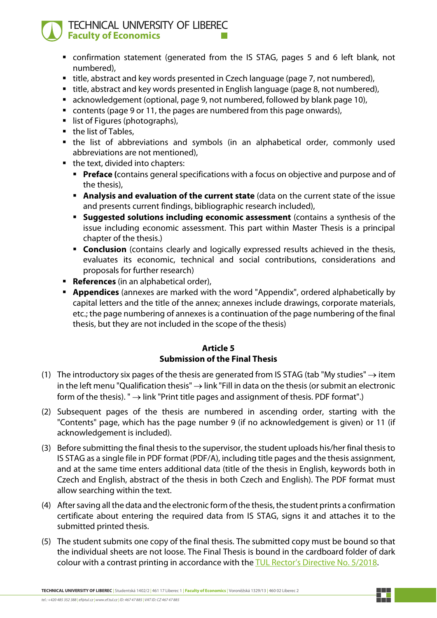# TECHNICAL UNIVERSITY OF LIBEREC **Faculty of Economics**

- confirmation statement (generated from the IS STAG, pages 5 and 6 left blank, not numbered),
- title, abstract and key words presented in Czech language (page 7, not numbered),
- title, abstract and key words presented in English language (page 8, not numbered),
- acknowledgement (optional, page 9, not numbered, followed by blank page 10),
- contents (page 9 or 11, the pages are numbered from this page onwards),
- list of Figures (photographs),
- the list of Tables,
- the list of abbreviations and symbols (in an alphabetical order, commonly used abbreviations are not mentioned),
- the text, divided into chapters:
	- **Preface (contains general specifications with a focus on objective and purpose and of** the thesis),
	- **Analysis and evaluation of the current state** (data on the current state of the issue and presents current findings, bibliographic research included),
	- **Suggested solutions including economic assessment** (contains a synthesis of the issue including economic assessment. This part within Master Thesis is a principal chapter of the thesis.)
	- **Conclusion** (contains clearly and logically expressed results achieved in the thesis, evaluates its economic, technical and social contributions, considerations and proposals for further research)
- **References** (in an alphabetical order),
- **Appendices** (annexes are marked with the word "Appendix", ordered alphabetically by capital letters and the title of the annex; annexes include drawings, corporate materials, etc.; the page numbering of annexes is a continuation of the page numbering of the final thesis, but they are not included in the scope of the thesis)

### **Article 5 Submission of the Final Thesis**

- (1) The introductory six pages of the thesis are generated from IS STAG (tab "My studies"  $\rightarrow$  item in the left menu "Qualification thesis"  $\rightarrow$  link "Fill in data on the thesis (or submit an electronic form of the thesis). " $\rightarrow$  link "Print title pages and assignment of thesis. PDF format".)
- (2) Subsequent pages of the thesis are numbered in ascending order, starting with the "Contents" page, which has the page number 9 (if no acknowledgement is given) or 11 (if acknowledgement is included).
- (3) Before submitting the final thesis to the supervisor, the student uploads his/her final thesis to IS STAG as a single file in PDF format (PDF/A), including title pages and the thesis assignment, and at the same time enters additional data (title of the thesis in English, keywords both in Czech and English, abstract of the thesis in both Czech and English). The PDF format must allow searching within the text.
- (4) After saving all the data and the electronic form of the thesis, the student prints a confirmation certificate about entering the required data from IS STAG, signs it and attaches it to the submitted printed thesis.
- (5) The student submits one copy of the final thesis. The submitted copy must be bound so that the individual sheets are not loose. The Final Thesis is bound in the cardboard folder of dark colour with a contrast printing in accordance with the [TUL Rector's Directive No. 5/2018.](https://doc.tul.cz/8580)

**TECHNICAL UNIVERSITY OF LIBEREC** | Studentská 1402/2 | 461 17 Liberec 1 | **Faculty of Economics** | Voroněžská 1329/13 | 460 02 Liberec 2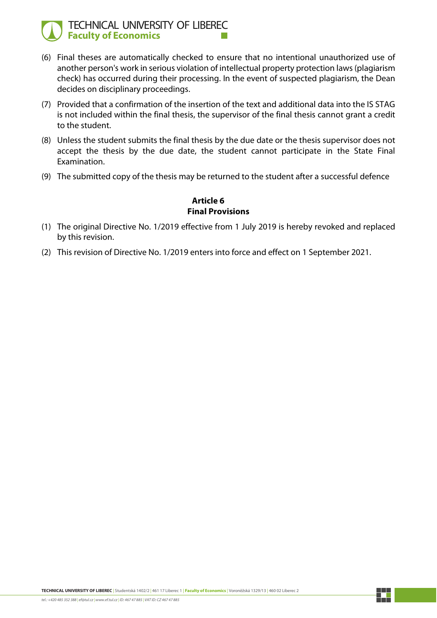## TECHNICAL UNIVERSITY OF LIBEREC **Faculty of Economics**

- (6) Final theses are automatically checked to ensure that no intentional unauthorized use of another person's work in serious violation of intellectual property protection laws (plagiarism check) has occurred during their processing. In the event of suspected plagiarism, the Dean decides on disciplinary proceedings.
- (7) Provided that a confirmation of the insertion of the text and additional data into the IS STAG is not included within the final thesis, the supervisor of the final thesis cannot grant a credit to the student.
- (8) Unless the student submits the final thesis by the due date or the thesis supervisor does not accept the thesis by the due date, the student cannot participate in the State Final Examination.
- (9) The submitted copy of the thesis may be returned to the student after a successful defence

### **Article 6 Final Provisions**

- (1) The original Directive No. 1/2019 effective from 1 July 2019 is hereby revoked and replaced by this revision.
- (2) This revision of Directive No. 1/2019 enters into force and effect on 1 September 2021.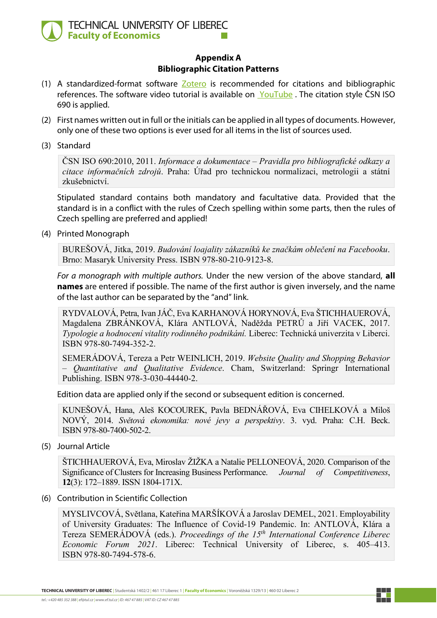

### **Appendix A Bibliographic Citation Patterns**

- (1) A standardized-format software  $Zotero$  is recommended for citations and bibliographic references. The software video tutorial is available on [YouTube](https://youtube.com/playlist?list=PLAlkjmzRsQ1VT48yUKA0-kFnNhJFtgEH9). The citation style CSN ISO 690 is applied.
- (2) First names written out in full or the initials can be applied in all types of documents. However, only one of these two options is ever used for all items in the list of sources used.
- (3) Standard

ČSN ISO 690:2010, 2011. *Informace a dokumentace – Pravidla pro bibliografické odkazy a citace informačních zdrojů*. Praha: Úřad pro technickou normalizaci, metrologii a státní zkušebnictví.

Stipulated standard contains both mandatory and facultative data. Provided that the standard is in a conflict with the rules of Czech spelling within some parts, then the rules of Czech spelling are preferred and applied!

(4) Printed Monograph

BUREŠOVÁ, Jitka, 2019. *Budování loajality zákazníků ke značkám oblečení na Facebooku*. Brno: Masaryk University Press. ISBN 978-80-210-9123-8.

*For a monograph with multiple authors.* Under the new version of the above standard, **all names** are entered if possible. The name of the first author is given inversely, and the name of the last author can be separated by the "and" link.

RYDVALOVÁ, Petra, Ivan JÁČ, Eva KARHANOVÁ HORYNOVÁ, Eva ŠTICHHAUEROVÁ, Magdalena ZBRÁNKOVÁ, Klára ANTLOVÁ, Naděžda PETRŮ a Jiří VACEK, 2017. *Typologie a hodnocení vitality rodinného podnikání.* Liberec: Technická univerzita v Liberci. ISBN 978-80-7494-352-2.

SEMERÁDOVÁ, Tereza a Petr WEINLICH, 2019. *Website Quality and Shopping Behavior – Quantitative and Qualitative Evidence*. Cham, Switzerland: Springr International Publishing. ISBN 978-3-030-44440-2.

Edition data are applied only if the second or subsequent edition is concerned.

KUNEŠOVÁ, Hana, Aleš KOCOUREK, Pavla BEDNÁŘOVÁ, Eva CIHELKOVÁ a Miloš NOVÝ, 2014. *Světová ekonomika: nové jevy a perspektivy*. 3. vyd. Praha: C.H. Beck. ISBN 978-80-7400-502-2.

(5) Journal Article

ŠTICHHAUEROVÁ, Eva, Miroslav ŽIŽKA a Natalie PELLONEOVÁ, 2020. Comparison of the Significance of Clusters for Increasing Business Performance. *Journal of Competitiveness*, **12**(3): 172–1889. ISSN 1804-171X.

(6) Contribution in Scientific Collection

MYSLIVCOVÁ, Světlana, Kateřina MARŠÍKOVÁ a Jaroslav DEMEL, 2021. Employability of University Graduates: The Influence of Covid-19 Pandemic. In: ANTLOVÁ, Klára a Tereza SEMERÁDOVÁ (eds.). *Proceedings of the 15th International Conference Liberec Economic Forum 2021*. Liberec: Technical University of Liberec, s. 405–413. ISBN 978-80-7494-578-6.

**TECHNICAL UNIVERSITY OF LIBEREC** | Studentská 1402/2 | 461 17 Liberec 1 | **Faculty of Economics** | Voroněžská 1329/13 | 460 02 Liberec 2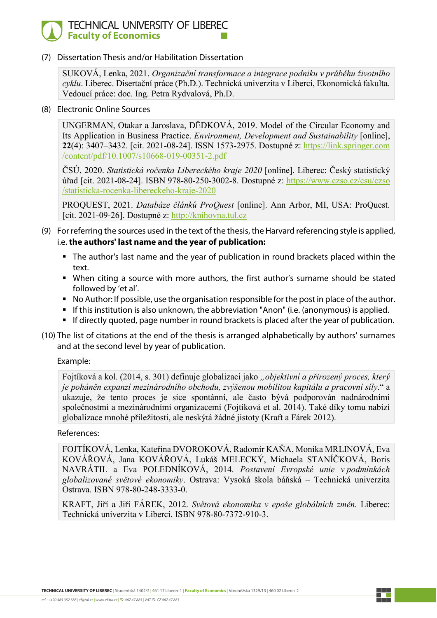## TECHNICAL UNIVERSITY OF LIBEREC **Faculty of Economics**

(7) Dissertation Thesis and/or Habilitation Dissertation

SUKOVÁ, Lenka, 2021. *Organizační transformace a integrace podniku v průběhu životního cyklu*. Liberec. Disertační práce (Ph.D.). Technická univerzita v Liberci, Ekonomická fakulta. Vedoucí práce: doc. Ing. Petra Rydvalová, Ph.D.

(8) Electronic Online Sources

UNGERMAN, Otakar a Jaroslava, DĚDKOVÁ, 2019. Model of the Circular Economy and Its Application in Business Practice. *Environment, Development and Sustainability* [online], **22**(4): 3407–3432. [cit. 2021-08-24]. ISSN 1573-2975. Dostupné z: [https://link.springer.com](https://link.springer.com/content/pdf/10.1007/s10668-019-00351-2.pdf)  [/content/pdf/10.1007/s10668](https://link.springer.com/content/pdf/10.1007/s10668-019-00351-2.pdf)-019-00351-2.pdf

ČSÚ, 2020. *Statistická ročenka Libereckého kraje 2020* [online]. Liberec: Český statistický úřad [cit. 2021-08-24]. ISBN 978-80-250-3002-8. Dostupné z: [https://www.czso.cz/csu/czso](https://www.czso.cz/csu/czso/statisticka-rocenka-libereckeho-kraje-2020)  /statisticka-rocenka-[libereckeho](https://www.czso.cz/csu/czso/statisticka-rocenka-libereckeho-kraje-2020)-kraje-2020

PROQUEST, 2021. *Databáze článků ProQuest* [online]. Ann Arbor, MI, USA: ProQuest. [cit. 2021-09-26]. Dostupné z: [http://knihovna.tul.cz](http://knihovna.tul.cz/)

- (9) For referring the sources used in the text of the thesis, the Harvard referencing style is applied, i.e. **the authors' last name and the year of publication:**
	- The author's last name and the year of publication in round brackets placed within the text.
	- When citing a source with more authors, the first author's surname should be stated followed by 'et al'.
	- No Author: If possible, use the organisation responsible for the post in place of the author.
	- If this institution is also unknown, the abbreviation "Anon" (i.e. (anonymous) is applied.
	- If directly quoted, page number in round brackets is placed after the year of publication.
- (10) The list of citations at the end of the thesis is arranged alphabetically by authors' surnames and at the second level by year of publication.

#### Example:

Fojtíková a kol. (2014, s. 301) definuje globalizaci jako *"objektivní a přirozený proces, který je poháněn expanzí mezinárodního obchodu, zvýšenou mobilitou kapitálu a pracovní síly*." a ukazuje, že tento proces je sice spontánní, ale často bývá podporován nadnárodními společnostmi a mezinárodními organizacemi (Fojtíková et al. 2014). Také díky tomu nabízí globalizace mnohé příležitosti, ale neskýtá žádné jistoty (Kraft a Fárek 2012).

#### References:

FOJTÍKOVÁ, Lenka, Kateřina DVOROKOVÁ, Radomír KAŇA, Monika MRLINOVÁ, Eva KOVÁŘOVÁ, Jana KOVÁŘOVÁ, Lukáš MELECKÝ, Michaela STANÍČKOVÁ, Boris NAVRÁTIL a Eva POLEDNÍKOVÁ, 2014. *Postavení Evropské unie v podmínkách globalizované světové ekonomiky*. Ostrava: Vysoká škola báňská – Technická univerzita Ostrava. ISBN 978-80-248-3333-0.

KRAFT, Jiří a Jiří FÁREK, 2012. *Světová ekonomika v epoše globálních změn.* Liberec: Technická univerzita v Liberci. ISBN 978-80-7372-910-3.